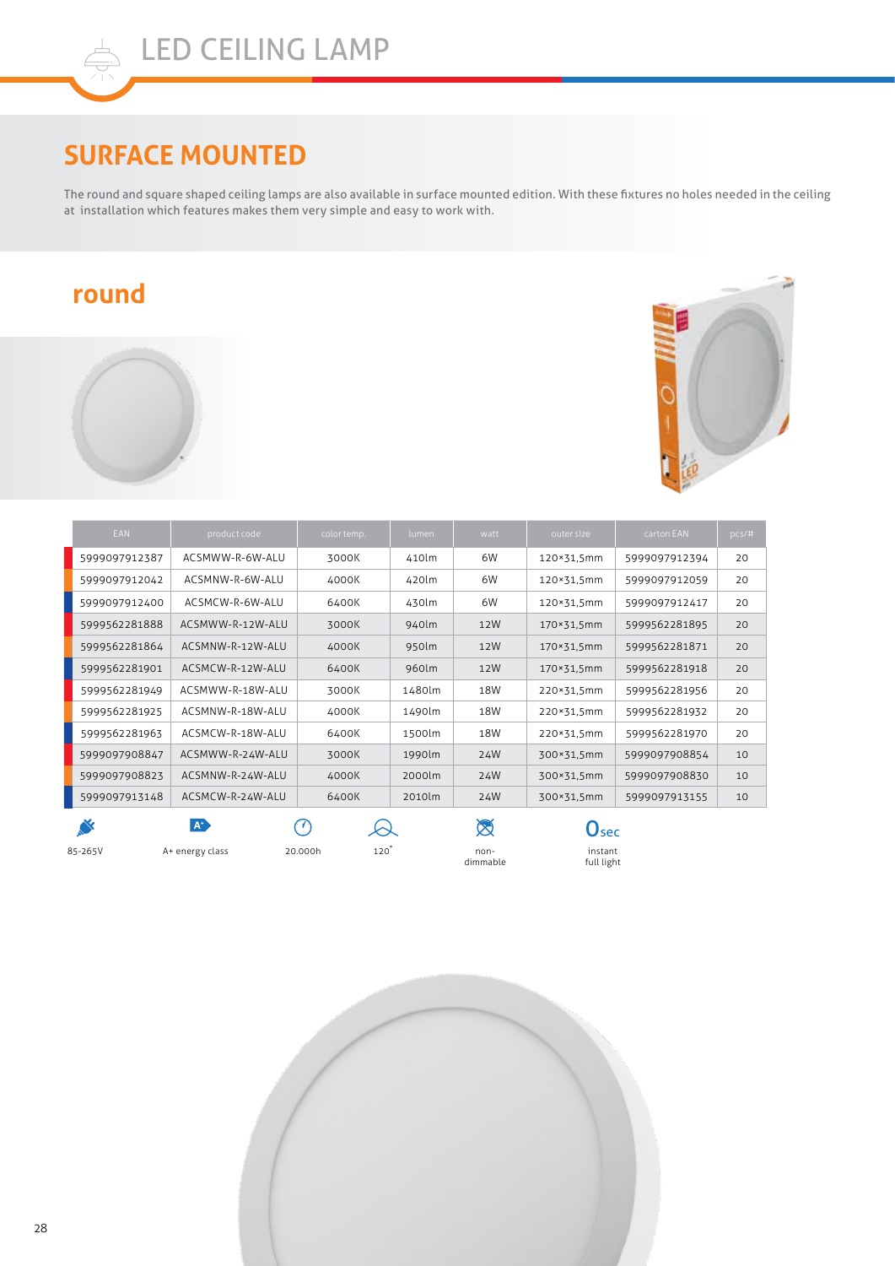## **SURFACE MOUNTED**

The round and square shaped ceiling lamps are also available in surface mounted edition. With these fixtures no holes needed in the ceiling at installation which features makes them very simple and easy to work with.

## **round**





|         | <b>EAN</b>    | product code     | color temp.    | lumen  | watt             | outer size                | carton EAN    | pcs/# |
|---------|---------------|------------------|----------------|--------|------------------|---------------------------|---------------|-------|
|         | 5999097912387 | ACSMWW-R-6W-ALU  | 3000K          | 410lm  | 6W               | 120×31,5mm                | 5999097912394 | 20    |
|         | 5999097912042 | ACSMNW-R-6W-ALU  | 4000K          | 420lm  | 6W               | 120×31.5mm                | 5999097912059 | 20    |
|         | 5999097912400 | ACSMCW-R-6W-ALU  | 6400K          | 430lm  | 6W               | 120×31,5mm                | 5999097912417 | 20    |
|         | 5999562281888 | ACSMWW-R-12W-ALU | 3000K          | 940lm  | 12W              | 170×31,5mm                | 5999562281895 | 20    |
|         | 5999562281864 | ACSMNW-R-12W-ALU | 4000K          | 950lm  | 12W              | 170×31,5mm                | 5999562281871 | 20    |
|         | 5999562281901 | ACSMCW-R-12W-ALU | 6400K          | 960lm  | 12W              | 170×31,5mm                | 5999562281918 | 20    |
|         | 5999562281949 | ACSMWW-R-18W-ALU | 3000K          | 1480lm | 18W              | 220×31,5mm                | 5999562281956 | 20    |
|         | 5999562281925 | ACSMNW-R-18W-ALU | 4000K          | 1490lm | 18W              | 220×31,5mm                | 5999562281932 | 20    |
|         | 5999562281963 | ACSMCW-R-18W-ALU | 6400K          | 1500lm | 18W              | 220×31,5mm                | 5999562281970 | 20    |
|         | 5999097908847 | ACSMWW-R-24W-ALU | 3000K          | 1990lm | 24W              | 300×31,5mm                | 5999097908854 | 10    |
|         | 5999097908823 | ACSMNW-R-24W-ALU | 4000K          | 2000lm | 24W              | 300×31,5mm                | 5999097908830 | 10    |
|         | 5999097913148 | ACSMCW-R-24W-ALU | 6400K          | 2010lm | 24W              | 300×31,5mm                | 5999097913155 | 10    |
|         | N             | A <sup>+</sup>   | 77             |        | Ø                | $\mathbf{O}_{\text{sec}}$ |               |       |
| 85-265V |               | A+ energy class  | 120<br>20.000h |        | non-<br>dimmable | instant<br>full light     |               |       |